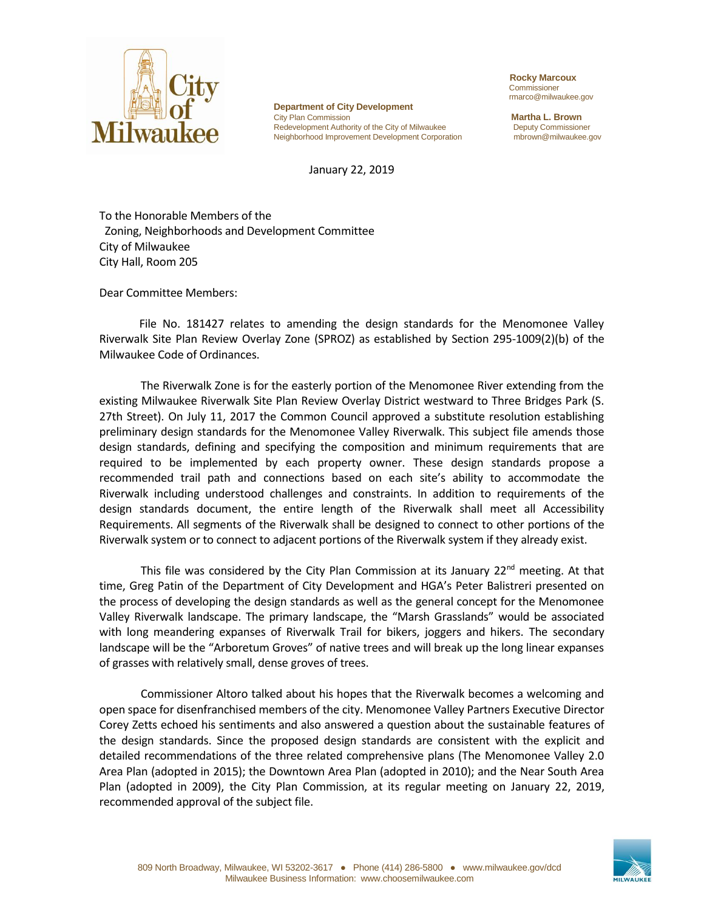

**Department of City Development** City Plan Commission **Martha L. Brown**<br>
Redevelopment Authority of the City of Milwaukee **Martha L. Brown** Redevelopment Authority of the City of Milwaukee Neighborhood Improvement Development Corporation mbrown@milwaukee.gov

January 22, 2019

 **Rocky Marcoux** Commissioner rmarco@milwaukee.gov

To the Honorable Members of the Zoning, Neighborhoods and Development Committee City of Milwaukee City Hall, Room 205

Dear Committee Members:

File No. 181427 relates to amending the design standards for the Menomonee Valley Riverwalk Site Plan Review Overlay Zone (SPROZ) as established by Section 295-1009(2)(b) of the Milwaukee Code of Ordinances.

The Riverwalk Zone is for the easterly portion of the Menomonee River extending from the existing Milwaukee Riverwalk Site Plan Review Overlay District westward to Three Bridges Park (S. 27th Street). On July 11, 2017 the Common Council approved a substitute resolution establishing preliminary design standards for the Menomonee Valley Riverwalk. This subject file amends those design standards, defining and specifying the composition and minimum requirements that are required to be implemented by each property owner. These design standards propose a recommended trail path and connections based on each site's ability to accommodate the Riverwalk including understood challenges and constraints. In addition to requirements of the design standards document, the entire length of the Riverwalk shall meet all Accessibility Requirements. All segments of the Riverwalk shall be designed to connect to other portions of the Riverwalk system or to connect to adjacent portions of the Riverwalk system if they already exist.

This file was considered by the City Plan Commission at its January  $22<sup>nd</sup>$  meeting. At that time, Greg Patin of the Department of City Development and HGA's Peter Balistreri presented on the process of developing the design standards as well as the general concept for the Menomonee Valley Riverwalk landscape. The primary landscape, the "Marsh Grasslands" would be associated with long meandering expanses of Riverwalk Trail for bikers, joggers and hikers. The secondary landscape will be the "Arboretum Groves" of native trees and will break up the long linear expanses of grasses with relatively small, dense groves of trees.

Commissioner Altoro talked about his hopes that the Riverwalk becomes a welcoming and open space for disenfranchised members of the city. Menomonee Valley Partners Executive Director Corey Zetts echoed his sentiments and also answered a question about the sustainable features of the design standards. Since the proposed design standards are consistent with the explicit and detailed recommendations of the three related comprehensive plans (The Menomonee Valley 2.0 Area Plan (adopted in 2015); the Downtown Area Plan (adopted in 2010); and the Near South Area Plan (adopted in 2009), the City Plan Commission, at its regular meeting on January 22, 2019, recommended approval of the subject file.